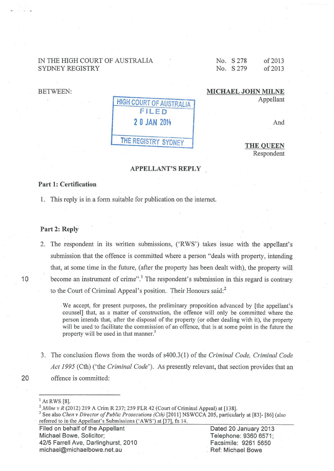# IN THE HIGH COURT OF AUSTRALIA SYDNEY REGISTRY

No. S 278 No. S 279 of2013 of2013

BETWEEN:

## MICHAEL JOHN MILNE Appellant

| <b>HIGH COURT OF AUSTRALIA</b><br>FILED |
|-----------------------------------------|
| 2 0 JAN 2014                            |
| THE REGISTRY SYDNEY                     |

And

THE QUEEN Respondent

## APPELLANT'S REPLY

## Part 1: Certification

1. This reply is in a form suitable for publication on the internet.

## Part 2: Reply

2. The respondent in its written submissions, ('RWS') takes issue with the appellant's submission that the offence is committed where a person "deals with property, intending that, at some time in the future, (after the property has been dealt with), the property will 10 become an instrument of crime".<sup>1</sup> The respondent's submission in this regard is contrary to the Court of Criminal Appeal's position. Their Honours said:<sup>2</sup>

> . We accept, for present purposes, the preliminary proposition advanced by [the appellant's counsel] that, as a matter of construction, the offence will only be committed where the person intends that, after the disposal of the property (or other dealing with it), the property will be used to facilitate the commission of an offence, that is at some point in the future the property will be used in that manner.<sup>3</sup>

3. The conclusion flows from the words of s400.3(1) of the *Criminal Code, Criminal Code Act 1995* (Cth) ('the *Criminal Code').* As presently relevant, that section provides that an 20 offence is committed:

Filed on behalf of the Appellant Michael Bowe, Solicitor; 42/5 Farrell Ave, Darlinghurst, 2010 michael@michaelbowe.net.au

Dated 20 January 2013 Telephone: 9360 6571; Facsimile: 9261 5650 . Ref: Michael Bowe

<sup>&</sup>lt;sup>1</sup> At RWS [8].<br><sup>2</sup> *Milne v R* (2012) 219 A Crim R 237; 259 FLR 42 (Court of Criminal Appeal) at [138].

<sup>&</sup>lt;sup>3</sup> See also *Chen v Director of Public Prosecutions (Cth)* [2011] NSWCCA 205, particularly at [83]- [86] (also referred to in the Appellant's Submissions ('AWS') at [37], fn 14.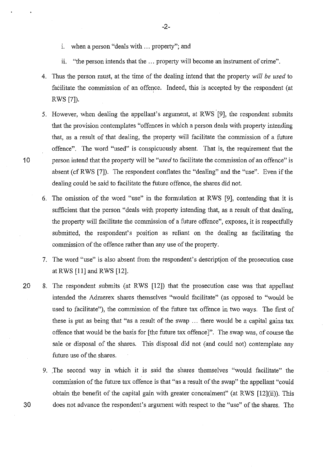- 1. when a person "deals with ... property"; and
- i. "the person intends that the ... property will become an instrument of crime".
- 4. Thus the person must, at the time of the dealing intend that the property *will be used* to facilitate the commission of an offence. Indeed, this is accepted by the respondent (at RWS [7]).
- 5. However, when dealing the appellant's argument, at RWS [9], the respondent submits that the provision contemplates "offences in which a person deals with property intending that, as a result of that dealing, the property will facilitate the commission of a future offence". The word "used" is conspicuously absent. That is, the requirement that the 1 0 person intend that the property will be *"used* to facilitate the commission of an offence" is absent (cf RWS [7]). The respondent conflates the "dealing" and the "use". Even if the dealing could be said to facilitate the future offence, the shares did not.
	- 6. The omission of the word "use" in the formulation at RWS [9], contending that it is sufficient that the person "deals with property intending that, as a result of that dealing, the property will facilitate the commission of a future offence", exposes, it is respectfully submitted, the respondent's position as reliant on the dealing as facilitating the commission of the offence rather than any use of the property.
	- 7. The word "use" is also absent from the respondent's description of the prosecution case at RWS [11] and RWS [12].
- 20 8. The respondent submits (at RWS [12]) that the prosecution case was that appellant intended the Admerex shares themselves "would facilitate" (as opposed to "would be used to facilitate"), the commission of the future tax offence in two ways. The first of these is put as being that "as a result of the swap ... there would be a capital gains tax offence that would be the basis for [the future tax offence]". The swap was, of course the sale or disposal of the shares. This disposal did not (and could not) contemplate any future use of the shares.
- 9. .The second way in which it is said the shares themselves "would facilitate" the commission of the future tax offence is that "as a result of the swap" the appellant "could obtain the benefit of the capital gain with greater concealment" (at RWS [12](ii)). This 30 does not advance the respondent's argument with respect to the "use" of the shares. The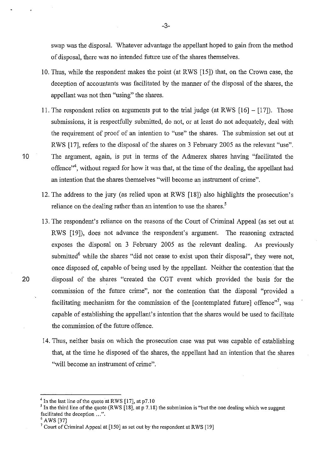swap was the disposal. Whatever advantage the appellant hoped to gain from the method of disposal, there was no intended future use of the shares themselves.

- 10. Thus, while the respondent makes the point (at RWS [15]) that, on the Crown case, the deception of accountants was facilitated by the manner of the disposal of the shares, the appellant was not then "using" the shares.
- 11. The respondent relies on arguments put to the trial judge (at RWS  $[16] [17]$ ). Those submissions, it is respectfully submitted, do not, or at least do not adequately, deal with the requirement of proof of an intention to "use" the shares. The submission set out at RWS [17], refers to the disposal of the shares on 3 February 2005 as the relevant "use". 10 The argument, again, is put in terms of the Admerex shares having "facilitated the offence"<sup>4</sup>, without regard for how it was that, at the time of the dealing, the appellant had an intention that the shares themselves "will become an instrument of crime".
	- 12. The address to the jury (as relied upon at RWS [18]) also highlights the prosecution's reliance on the dealing rather than an intention to use the shares.<sup>5</sup>
- 13. The respondent's reliance on the reasons of the Court of Criminal Appeal (as set out at RWS [19]), does not advance the respondent's argument. The reasoning extracted exposes the disposal on 3 February 2005 as the relevant dealing. As previously submitted<sup>6</sup> while the shares "did not cease to exist upon their disposal", they were not, once disposed of, capable of being used by the appellant. Neither the contention that the 20 disposal of the shares "created the CGT event which provided the basis for the commission of the future crime", nor the contention that the disposal "provided a facilitating mechanism for the commission of the [contemplated future] offence"<sup>7</sup>, was capable of establishing the appellant's intention that the shares would be used to facilitate the commission of the future offence.
	- 14. Thus, neither basis on which the prosecution case was put was capable of establishing that, at the time he disposed of the shares, the appellant had an intention that the shares "will become an instrument of crime".

 $4$  In the last line of the quote at RWS [17], at p7.10

<sup>&</sup>lt;sup>5</sup> In the third line of the quote (RWS  $\left[18\right]$ , at p 7.18) the submission is "but the one dealing which we suggest facilitated the deception  $\ldots$ ".<br><sup>6</sup> AWS [37]

 $7$  Court of Criminal Appeal at [150] as set out by the respondent at RWS [19]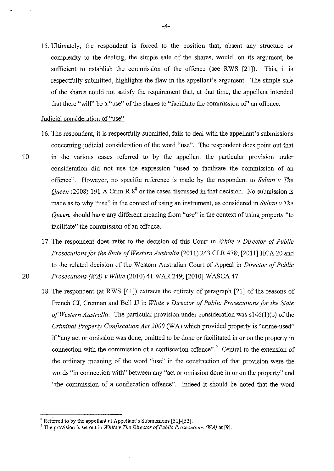15. Ultimately, the respondent is forced to the position that, absent any structure or complexity to the dealing, the simple sale of the shares, would, on its argument, be sufficient to establish the commission of the offence (see RWS [21]). This, it is respectfully submitted, highlights the flaw in the appellant's argument. The simple sale of the shares could not satisfy the requirement that, at that time, the appellant intended that there "will" be a "use" of the shares to "facilitate the commission of' an offence.

## Judicial consideration of "use"

- 16. The respondent, it is respectfully submitted, fails to deal with the appellant's submissions concerning judicial consideration of the word "use". The respondent does point out that 10 in the various cases referred to by the appellant the particular provision under consideration did not use the expression "used to facilitate the commission of an offence". Howeyer, no specific reference is made by the respondent to *Sultan v The Queen* (2008) 191 A Crim R  $8<sup>8</sup>$  or the cases discussed in that decision. No submission is made as to why "use" in the context of using an instrument, as considered in *Sultan v The*  · *Queen,* should have any different meaning from "use" in the context of using property "to facilitate" the commission of an offence.
- 17. The respondent does refer to the decision of this Court in *White v Director of Public Prosecutions for the State of Western Australia* (2011) 243 CLR 478; [2011] HCA 20 and to the related decision of the Western Australian Court of Appeal in *Director of Public*  20 *Prosecutions (WA) v White* (2010) 41 WAR249; [2010] WASCA 47.
	- 18. The respondent (at RWS [41]) extracts the entirety of paragraph [21] of the reasons of French CJ, Crennan and Bell JJ in *White v Director of Public Prosecutions for the State of Western Australia.* The particular provision under consideration was sl46(1)(c) of the *Criminal Property Confiscation Act 2000* (WA) which provided property is "crime-used" if "any act or omission was done, omitted to be done or facilitated in or on the property in connection with the commission of a confiscation offence".<sup>9</sup> Central to the extension of the ordinary meaning of the word "use" in the construction of that provision were the words "in connection with" between any "act or omission done in or on the property" and "the commission of a confiscation offence". Indeed it should be noted that the word

 $8$  Referred to by the appellant at Appellant's Submissions [51]-[53].

<sup>9</sup> The provision is set out in *White v The Director of Public Prosecutions (W A)* at [9].